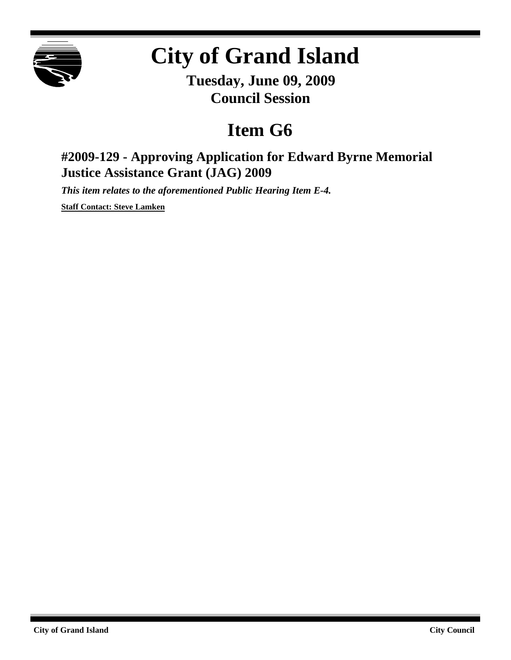

## **City of Grand Island**

**Tuesday, June 09, 2009 Council Session**

## **Item G6**

## **#2009-129 - Approving Application for Edward Byrne Memorial Justice Assistance Grant (JAG) 2009**

*This item relates to the aforementioned Public Hearing Item E-4.*

**Staff Contact: Steve Lamken**